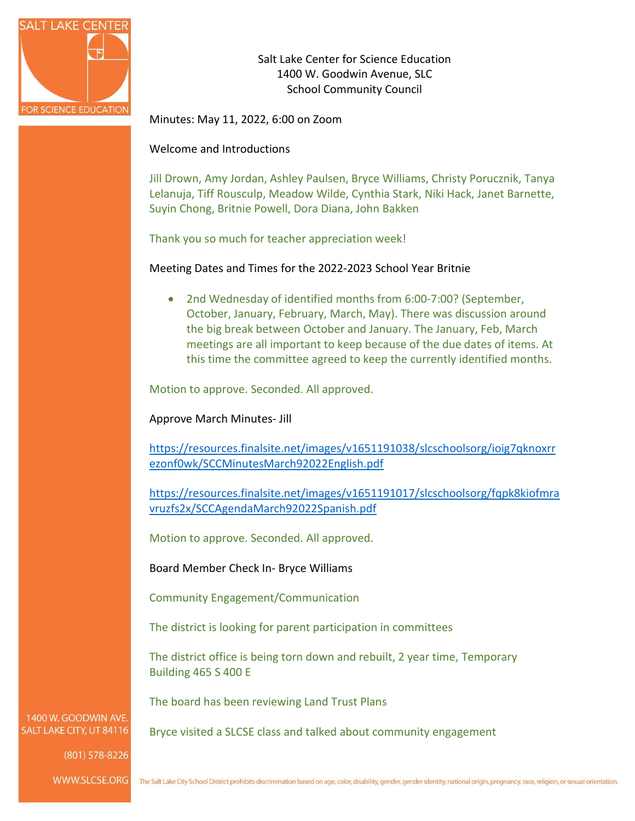

Salt Lake Center for Science Education 1400 W. Goodwin Avenue, SLC School Community Council

Minutes: May 11, 2022, 6:00 on Zoom

Welcome and Introductions

Jill Drown, Amy Jordan, Ashley Paulsen, Bryce Williams, Christy Porucznik, Tanya Lelanuja, Tiff Rousculp, Meadow Wilde, Cynthia Stark, Niki Hack, Janet Barnette, Suyin Chong, Britnie Powell, Dora Diana, John Bakken

Thank you so much for teacher appreciation week!

Meeting Dates and Times for the 2022-2023 School Year Britnie

• 2nd Wednesday of identified months from 6:00-7:00? (September, October, January, February, March, May). There was discussion around the big break between October and January. The January, Feb, March meetings are all important to keep because of the due dates of items. At this time the committee agreed to keep the currently identified months.

Motion to approve. Seconded. All approved.

Approve March Minutes- Jill

[https://resources.finalsite.net/images/v1651191038/slcschoolsorg/ioig7qknoxrr](https://resources.finalsite.net/images/v1651191038/slcschoolsorg/ioig7qknoxrrezonf0wk/SCCMinutesMarch92022English.pdf) [ezonf0wk/SCCMinutesMarch92022English.pdf](https://resources.finalsite.net/images/v1651191038/slcschoolsorg/ioig7qknoxrrezonf0wk/SCCMinutesMarch92022English.pdf)

[https://resources.finalsite.net/images/v1651191017/slcschoolsorg/fqpk8kiofmra](https://resources.finalsite.net/images/v1651191017/slcschoolsorg/fqpk8kiofmravruzfs2x/SCCAgendaMarch92022Spanish.pdf) [vruzfs2x/SCCAgendaMarch92022Spanish.pdf](https://resources.finalsite.net/images/v1651191017/slcschoolsorg/fqpk8kiofmravruzfs2x/SCCAgendaMarch92022Spanish.pdf)

Motion to approve. Seconded. All approved.

Board Member Check In- Bryce Williams

Community Engagement/Communication

The district is looking for parent participation in committees

The district office is being torn down and rebuilt, 2 year time, Temporary Building 465 S 400 E

The board has been reviewing Land Trust Plans

Bryce visited a SLCSE class and talked about community engagement

1400 W. GOODWIN AVE SALT LAKE CITY, UT 84116

(801) 578-8226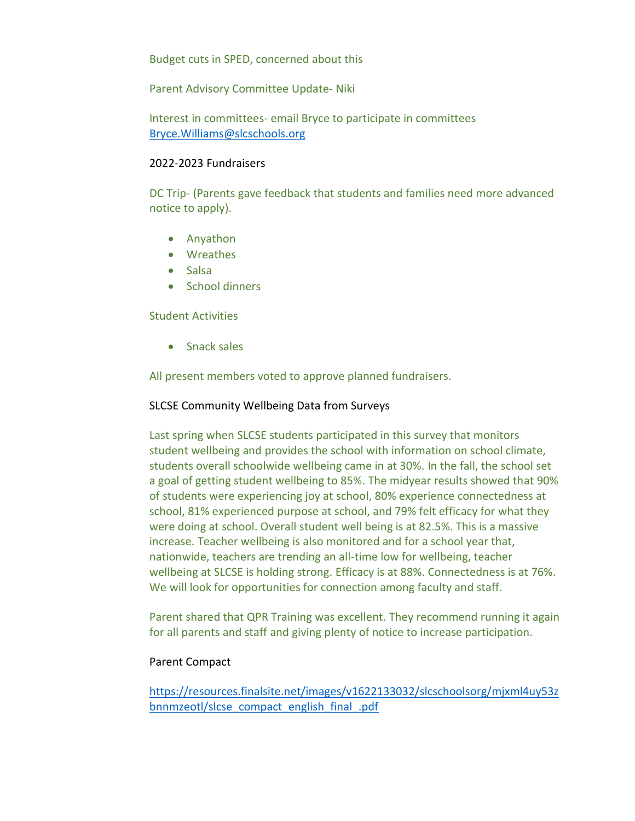Budget cuts in SPED, concerned about this

Parent Advisory Committee Update- Niki

Interest in committees- email Bryce to participate in committees [Bryce.Williams@slcschools.org](mailto:Bryce.Williams@slcschools.org)

#### 2022-2023 Fundraisers

DC Trip- (Parents gave feedback that students and families need more advanced notice to apply).

- Anyathon
- Wreathes
- Salsa
- School dinners

### Student Activities

• Snack sales

All present members voted to approve planned fundraisers.

### SLCSE Community Wellbeing Data from Surveys

Last spring when SLCSE students participated in this survey that monitors student wellbeing and provides the school with information on school climate, students overall schoolwide wellbeing came in at 30%. In the fall, the school set a goal of getting student wellbeing to 85%. The midyear results showed that 90% of students were experiencing joy at school, 80% experience connectedness at school, 81% experienced purpose at school, and 79% felt efficacy for what they were doing at school. Overall student well being is at 82.5%. This is a massive increase. Teacher wellbeing is also monitored and for a school year that, nationwide, teachers are trending an all-time low for wellbeing, teacher wellbeing at SLCSE is holding strong. Efficacy is at 88%. Connectedness is at 76%. We will look for opportunities for connection among faculty and staff.

Parent shared that QPR Training was excellent. They recommend running it again for all parents and staff and giving plenty of notice to increase participation.

# Parent Compact

[https://resources.finalsite.net/images/v1622133032/slcschoolsorg/mjxml4uy53z](https://resources.finalsite.net/images/v1622133032/slcschoolsorg/mjxml4uy53zbnnmzeotl/slcse_compact_english_final_.pdf) [bnnmzeotl/slcse\\_compact\\_english\\_final\\_.pdf](https://resources.finalsite.net/images/v1622133032/slcschoolsorg/mjxml4uy53zbnnmzeotl/slcse_compact_english_final_.pdf)